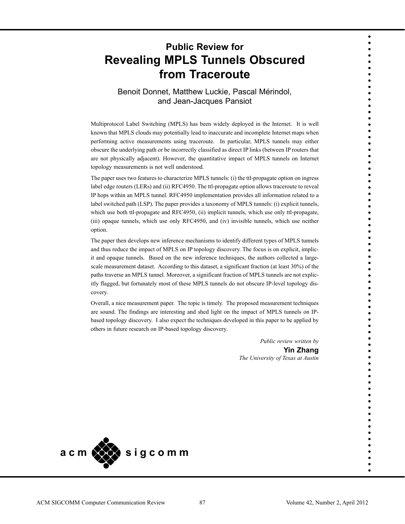# **Public Review for Revealing MPLS Tunnels Obscured from Traceroute**

# Benoit Donnet, Matthew Luckie, Pascal Mérindol, and Jean-Jacques Pansiot

Multiprotocol Label Switching (MPLS) has been widely deployed in the Internet. It is well known that MPLS clouds may potentially lead to inaccurate and incomplete Internet maps when performing active measurements using traceroute. In particular, MPLS tunnels may either obscure the underlying path or be incorrectly classified as direct IP links (between IP routers that are not physically adjacent). However, the quantitative impact of MPLS tunnels on Internet topology measurements is not well understood.

The paper uses two features to characterize MPLS tunnels: (i) the ttl-propagate option on ingress label edge routers (LERs) and (ii) RFC4950. The ttl-propagate option allows traceroute to reveal IP hops within an MPLS tunnel. RFC4950 implementation provides all information related to a label switched path (LSP). The paper provides a taxonomy of MPLS tunnels: (i) explicit tunnels, which use both ttl-propagate and RFC4950, (ii) implicit tunnels, which use only ttl-propagate, (iii) opaque tunnels, which use only RFC4950, and (iv) invisible tunnels, which use neither option.

The paper then develops new inference mechanisms to identify different types of MPLS tunnels and thus reduce the impact of MPLS on IP topology discovery. The focus is on explicit, implicit and opaque tunnels. Based on the new inference techniques, the authors collected a largescale measurement dataset. According to this dataset, a significant fraction (at least 30%) of the paths traverse an MPLS tunnel. Moreover, a significant fraction of MPLS tunnels are not explicitly flagged, but fortunately most of these MPLS tunnels do not obscure IP-level topology discovery.

Overall, a nice measurement paper. The topic is timely. The proposed measurement techniques are sound. The findings are interesting and shed light on the impact of MPLS tunnels on IPbased topology discovery. I also expect the techniques developed in this paper to be applied by others in future research on IP-based topology discovery.

> *Public review written by* **Yin Zhang**  *The University of Texas at Austin*



• • • • • • • • • • • • • • • • • • • • • • • • • • • • • • • • • • • • • • • • • • • • • • • • • • • • • • • • • • • • • • • • • • • • • •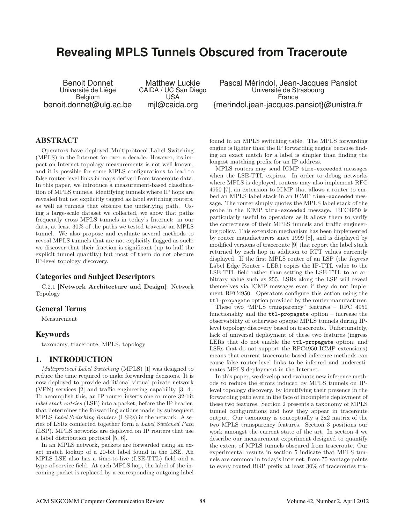# **Revealing MPLS Tunnels Obscured from Traceroute**

Benoit Donnet Matthew Luckie Pascal Mérindol, Jean-Jacques Pansiot<br>Université de Liège CAIDA / UC San Diego Université de Strasbourg vrsité de Liège CAIDA / UC San Diego Université de Strasbourg<br>Belgium USA CHICA USA France Belgium USA France benoit.donnet@ulg.ac.be mjl@caida.org {merindol,jean-jacques.pansiot}@unistra.fr

# **ABSTRACT**

Operators have deployed Multiprotocol Label Switching (MPLS) in the Internet for over a decade. However, its impact on Internet topology measurements is not well known, and it is possible for some MPLS configurations to lead to false router-level links in maps derived from traceroute data. In this paper, we introduce a measurement-based classification of MPLS tunnels, identifying tunnels where IP hops are revealed but not explicitly tagged as label switching routers, as well as tunnels that obscure the underlying path. Using a large-scale dataset we collected, we show that paths frequently cross MPLS tunnels in today's Internet: in our data, at least 30% of the paths we tested traverse an MPLS tunnel. We also propose and evaluate several methods to reveal MPLS tunnels that are not explicitly flagged as such: we discover that their fraction is significant (up to half the explicit tunnel quantity) but most of them do not obscure IP-level topology discovery.

# **Categories and Subject Descriptors**

C.2.1 [Network Architecture and Design]: Network Topology

## **General Terms**

Measurement

#### **Keywords**

taxonomy, traceroute, MPLS, topology

## **1. INTRODUCTION**

Multiprotocol Label Switching (MPLS) [1] was designed to reduce the time required to make forwarding decisions. It is now deployed to provide additional virtual private network (VPN) services [2] and traffic engineering capability [3, 4]. To accomplish this, an IP router inserts one or more 32-bit label stack entries (LSE) into a packet, before the IP header, that determines the forwarding actions made by subsequent MPLS Label Switching Routers (LSRs) in the network. A series of LSRs connected together form a Label Switched Path (LSP). MPLS networks are deployed on IP routers that use a label distribution protocol [5, 6].

In an MPLS network, packets are forwarded using an exact match lookup of a 20-bit label found in the LSE. An MPLS LSE also has a time-to-live (LSE-TTL) field and a type-of-service field. At each MPLS hop, the label of the incoming packet is replaced by a corresponding outgoing label found in an MPLS switching table. The MPLS forwarding engine is lighter than the IP forwarding engine because finding an exact match for a label is simpler than finding the longest matching prefix for an IP address.

MPLS routers may send ICMP time-exceeded messages when the LSE-TTL expires. In order to debug networks where MPLS is deployed, routers may also implement RFC 4950 [7], an extension to ICMP that allows a router to embed an MPLS label stack in an ICMP time-exceeded message. The router simply quotes the MPLS label stack of the probe in the ICMP time-exceeded message. RFC4950 is particularly useful to operators as it allows them to verify the correctness of their MPLS tunnels and traffic engineering policy. This extension mechanism has been implemented by router manufacturers since 1999 [8], and is displayed by modified versions of traceroute [9] that report the label stack returned by each hop in addition to RTT values currently displayed. If the first MPLS router of an LSP (the Ingress Label Edge Router - LER) copies the IP-TTL value to the LSE-TTL field rather than setting the LSE-TTL to an arbitrary value such as 255, LSRs along the LSP will reveal themselves via ICMP messages even if they do not implement RFC4950. Operators configure this action using the ttl-propagate option provided by the router manufacturer.

These two "MPLS transparency" features – RFC 4950 functionality and the ttl-propagate option – increase the observability of otherwise opaque MPLS tunnels during IPlevel topology discovery based on traceroute. Unfortunately, lack of universal deployment of these two features (ingress LERs that do not enable the ttl-propagate option, and LSRs that do not support the RFC4950 ICMP extensions) means that current traceroute-based inference methods can cause false router-level links to be inferred and underestimates MPLS deployment in the Internet.

In this paper, we develop and evaluate new inference methods to reduce the errors induced by MPLS tunnels on IPlevel topology discovery, by identifying their presence in the forwarding path even in the face of incomplete deployment of these two features. Section 2 presents a taxonomy of MPLS tunnel configurations and how they appear in traceroute output. Our taxonomy is conceptually a 2x2 matrix of the two MPLS transparency features. Section 3 positions our work amongst the current state of the art. In section 4 we describe our measurement experiment designed to quantify the extent of MPLS tunnels obscured from traceroute. Our experimental results in section 5 indicate that MPLS tunnels are common in today's Internet; from 75 vantage points to every routed BGP prefix at least 30% of traceroutes tra-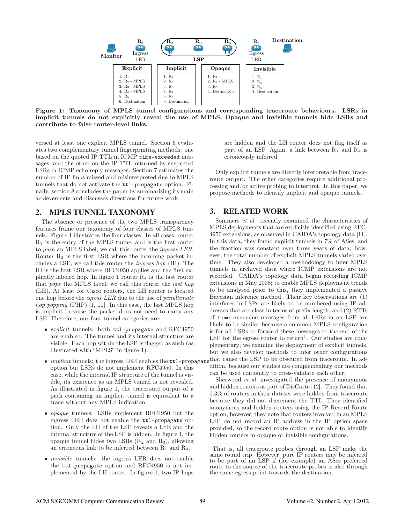

Figure 1: Taxonomy of MPLS tunnel configurations and corresponding traceroute behaviours. LSRs in implicit tunnels do not explicitly reveal the use of MPLS. Opaque and invisible tunnels hide LSRs and contribute to false router-level links.

versed at least one explicit MPLS tunnel. Section 6 evaluates two complementary tunnel fingerprinting methods: one based on the quoted IP TTL in ICMP time-exceeded messages, and the other on the IP TTL returned by suspected LSRs in ICMP echo reply messages. Section 7 estimates the number of IP links missed and misinterpreted due to MPLS tunnels that do not activate the ttl-propagate option. Finally, section 8 concludes the paper by summarising its main achievements and discusses directions for future work.

# **2. MPLS TUNNEL TAXONOMY**

The absence or presence of the two MPLS transparency features frame our taxonomy of four classes of MPLS tunnels. Figure 1 illustrates the four classes. In all cases, router  $R_1$  is the entry of the MPLS tunnel and is the first router to push an MPLS label; we call this router the ingress LER. Router  $R_2$  is the first LSR where the incoming packet includes a LSE; we call this router the ingress hop (IH). The IH is the first LSR where RFC4950 applies and the first explicitly labeled hop. In figure 1 router R<sup>4</sup> is the last router that pops the MPLS label; we call this router the last hop (LH). At least for Cisco routers, the LH router is located one hop before the egress LER due to the use of penultimate hop popping (PHP) [1, 10]. In this case, the last MPLS hop is implicit because the packet does not need to carry any LSE. Therefore, our four tunnel categories are:

- explicit tunnels: both ttl-propagate and RFC4950 are enabled. The tunnel and its internal structure are visible. Each hop within the LSP is flagged as such (as illustrated with "MPLS" in figure 1).
- $\bullet$  *implicit* tunnels: the ingress LER enables the  $\texttt{ttl-propagat}$ option but LSRs do not implement RFC4950. In this case, while the internal IP structure of the tunnel is visible, its existence as an MPLS tunnel is not revealed. As illustrated in figure 1, the traceroute output of a path containing an implicit tunnel is equivalent to a trace without any MPLS indication.
- opaque tunnels: LSRs implement RFC4950 but the ingress LER does not enable the ttl-propagate option. Only the LH of the LSP reveals a LSE and the internal structure of the LSP is hidden. In figure 1, the opaque tunnel hides two LSRs  $(R_2 \text{ and } R_3)$ , allowing an erroneous link to be inferred between  $R_1$  and  $R_4$ .
- invisible tunnels: the ingress LER does not enable the ttl-propagate option and RFC4950 is not implemented by the LH router. In figure 1, two IP hops

are hidden and the LH router does not flag itself as part of an LSP. Again, a link between  $R_1$  and  $R_4$  is erroneously inferred.

Only explicit tunnels are directly interpretable from traceroute output. The other categories require additional processing and/or active probing to interpret. In this paper, we propose methods to identify implicit and opaque tunnels.

# **3. RELATED WORK**

Sommers et al. recently examined the characteristics of MPLS deployments that are explicitly identified using RFC-4950 extensions, as observed in CAIDA's topology data [11]. In this data, they found explicit tunnels in 7% of ASes, and the fraction was constant over three years of data; however, the total number of explicit MPLS tunnels varied over time. They also developed a methodology to infer MPLS tunnels in archived data where ICMP extensions are not recorded. CAIDA's topology data began recording ICMP extensions in May 2008; to enable MPLS deployment trends to be analysed prior to this, they implemented a passive Bayesian inference method. Their key observations are (1) interfaces in LSPs are likely to be numbered using IP addresses that are close in terms of prefix length, and (2) RTTs of time-exceeded messages from all LSRs in an LSP are likely to be similar because a common MPLS configuration is for all LSRs to forward these messages to the end of the LSP for the egress router to return<sup>1</sup>. Our studies are complementary; we examine the deployment of explicit tunnels, but we also develop methods to infer other configurations that cause the LSP to be obscured from traceroute. In addition, because our studies are complementary our methods can be used conjointly to cross-validate each other.

Sherwood et al. investigated the presence of anonymous and hidden routers as part of DisCarte [12]. They found that 0.3% of routers in their dataset were hidden from traceroute because they did not decrement the TTL. They identified anonymous and hidden routers using the IP Record Route option; however, they note that routers involved in an MPLS LSP do not record an IP address in the IP option space provided, so the record route option is not able to identify hidden routers in opaque or invisible configurations.

<sup>1</sup>That is, all traceroute probes through an LSP make the same round trip. However, pure IP routers may be inferred to be part of an LSP if (for example) an ASes preferred route to the source of the traceroute probes is also through the same egress point towards the destination.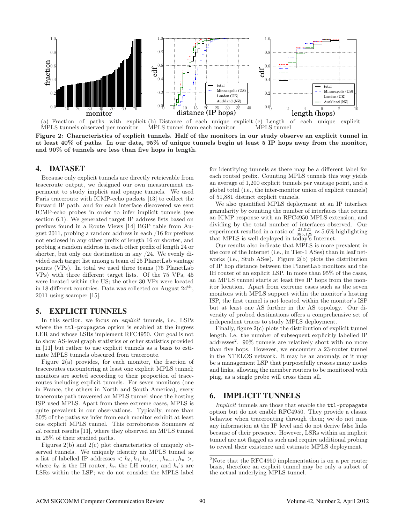

(a) Fraction of paths with explicit (b) Distance of each unique explicit (c) Length of each unique explicit MPLS tunnels observed per monitor MPLS tunnel from each monitor MPLS tunnel

Figure 2: Characteristics of explicit tunnels. Half of the monitors in our study observe an explicit tunnel in at least 40% of paths. In our data, 95% of unique tunnels begin at least 5 IP hops away from the monitor, and 90% of tunnels are less than five hops in length.

#### **4. DATASET**

Because only explicit tunnels are directly retrievable from traceroute output, we designed our own measurement experiment to study implicit and opaque tunnels. We used Paris traceroute with ICMP-echo packets [13] to collect the forward IP path, and for each interface discovered we sent ICMP-echo probes in order to infer implicit tunnels (see section 6.1). We generated target IP address lists based on prefixes found in a Route Views [14] BGP table from August 2011, probing a random address in each /16 for prefixes not enclosed in any other prefix of length 16 or shorter, and probing a random address in each other prefix of length 24 or shorter, but only one destination in any /24. We evenly divided each target list among a team of 25 PlanetLab vantage points (VPs). In total we used three teams (75 PlanetLab VPs) with three different target lists. Of the 75 VPs, 45 were located within the US; the other 30 VPs were located in 18 different countries. Data was collected on August  $24<sup>th</sup>$ , 2011 using scamper [15].

## **5. EXPLICIT TUNNELS**

In this section, we focus on explicit tunnels, i.e., LSPs where the ttl-propagate option is enabled at the ingress LER and whose LSRs implement RFC4950. Our goal is not to show AS-level graph statistics or other statistics provided in [11] but rather to use explicit tunnels as a basis to estimate MPLS tunnels obscured from traceroute.

Figure 2(a) provides, for each monitor, the fraction of traceroutes encountering at least one explicit MPLS tunnel; monitors are sorted according to their proportion of traceroutes including explicit tunnels. For seven monitors (one in France, the others in North and South America), every traceroute path traversed an MPLS tunnel since the hosting ISP used MPLS. Apart from these extreme cases, MPLS is quite prevalent in our observations. Typically, more than 30% of the paths we infer from each monitor exhibit at least one explicit MPLS tunnel. This corroborates Sommers et al. recent results [11], where they observed an MPLS tunnel in 25% of their studied paths.

Figures 2(b) and 2(c) plot characteristics of uniquely observed tunnels. We uniquely identify an MPLS tunnel as a list of labelled IP addresses  $\langle h_0, h_1, h_2, \ldots, h_{n-1}, h_n \rangle$ , where  $h_0$  is the IH router,  $h_n$  the LH router, and  $h_i$ 's are LSRs within the LSP; we do not consider the MPLS label

for identifying tunnels as there may be a different label for each routed prefix. Counting MPLS tunnels this way yields an average of 1,200 explicit tunnels per vantage point, and a global total (i.e., the inter-monitor union of explicit tunnels) of 51,881 distinct explicit tunnels.

We also quantified MPLS deployment at an IP interface granularity by counting the number of interfaces that return an ICMP response with an RFC4950 MPLS extension, and dividing by the total number of interfaces observed. Our experiment resulted in a ratio of  $\frac{21,921}{385,129} \approx 5.6\%$  highlighting that MPLS is well deployed in today's Internet.

Our results also indicate that MPLS is more prevalent in the core of the Internet (i.e., in Tier-1 ASes) than in leaf networks (i.e., Stub ASes). Figure 2(b) plots the distribution of IP hop distance between the PlanetLab monitors and the IH router of an explicit LSP. In more than 95% of the cases, an MPLS tunnel starts at least five IP hops from the monitor location. Apart from extreme cases such as the seven monitors with MPLS support within the monitor's hosting ISP, the first tunnel is not located within the monitor's ISP but at least one AS further in the AS topology. Our diversity of probed destinations offers a comprehensive set of independent traces to study MPLS deployment.

Finally, figure 2(c) plots the distribution of explicit tunnel length, i.e. the number of subsequent explicitly labelled IP addresses<sup>2</sup>. 90% tunnels are relatively short with no more than five hops. However, we encounter a 23-router tunnel in the NTELOS network. It may be an anomaly, or it may be a management LSP that purposefully crosses many nodes and links, allowing the member routers to be monitored with ping, as a single probe will cross them all.

#### **6. IMPLICIT TUNNELS**

Implicit tunnels are those that enable the ttl-propagate option but do not enable RFC4950. They provide a classic behavior when tracerouting through them; we do not miss any information at the IP level and do not derive false links because of their presence. However, LSRs within an implicit tunnel are not flagged as such and require additional probing to reveal their existence and estimate MPLS deployment.

<sup>&</sup>lt;sup>2</sup>Note that the RFC4950 implementation is on a per router basis, therefore an explicit tunnel may be only a subset of the actual underlying MPLS tunnel.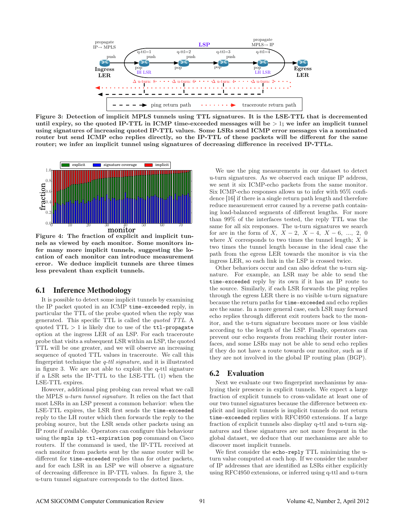

Figure 3: Detection of implicit MPLS tunnels using TTL signatures. It is the LSE-TTL that is decremented until expiry, so the quoted IP-TTL in ICMP time-exceeded messages will be  $>1$ ; we infer an implicit tunnel using signatures of increasing quoted IP-TTL values. Some LSRs send ICMP error messages via a nominated router but send ICMP echo replies directly, so the IP-TTL of these packets will be different for the same router; we infer an implicit tunnel using signatures of decreasing difference in received IP-TTLs.



Figure 4: The fraction of explicit and implicit tunnels as viewed by each monitor. Some monitors infer many more implicit tunnels, suggesting the location of each monitor can introduce measurement error. We deduce implicit tunnels are three times less prevalent than explicit tunnels.

#### **6.1 Inference Methodology**

It is possible to detect some implicit tunnels by examining the IP packet quoted in an ICMP time-exceeded reply, in particular the TTL of the probe quoted when the reply was generated. This specific TTL is called the quoted TTL. A quoted  $TTL > 1$  is likely due to use of the  $ttl$ -propagate option at the ingress LER of an LSP. For each traceroute probe that visits a subsequent LSR within an LSP, the quoted TTL will be one greater, and we will observe an increasing sequence of quoted TTL values in traceroute. We call this fingerprint technique the q-ttl signature, and it is illustrated in figure 3. We are not able to exploit the q-ttl signature if a LSR sets the IP-TTL to the LSE-TTL (1) when the LSE-TTL expires.

However, additional ping probing can reveal what we call the MPLS u-turn tunnel signature. It relies on the fact that most LSRs in an LSP present a common behavior: when the LSE-TTL expires, the LSR first sends the time-exceeded reply to the LH router which then forwards the reply to the probing source, but the LSR sends other packets using an IP route if available. Operators can configure this behaviour using the mpls ip ttl-expiration pop command on Cisco routers. If the command is used, the IP-TTL received at each monitor from packets sent by the same router will be different for time-exceeded replies than for other packets, and for each LSR in an LSP we will observe a signature of decreasing difference in IP-TTL values. In figure 3, the u-turn tunnel signature corresponds to the dotted lines.

We use the ping measurements in our dataset to detect u-turn signatures. As we observed each unique IP address, we sent it six ICMP-echo packets from the same monitor. Six ICMP-echo responses allows us to infer with 95% confidence [16] if there is a single return path length and therefore reduce measurement error caused by a reverse path containing load-balanced segments of different lengths. For more than 99% of the interfaces tested, the reply TTL was the same for all six responses. The u-turn signatures we search for are in the form of X,  $X - 2$ ,  $X - 4$ ,  $X - 6$ , ..., 2, 0 where  $X$  corresponds to two times the tunnel length;  $X$  is two times the tunnel length because in the ideal case the path from the egress LER towards the monitor is via the ingress LER, so each link in the LSP is crossed twice.

Other behaviors occur and can also defeat the u-turn signature. For example, an LSR may be able to send the time-exceeded reply by its own if it has an IP route to the source. Similarly, if each LSR forwards the ping replies through the egress LER there is no visible u-turn signature because the return paths for time-exceeded and echo replies are the same. In a more general case, each LSR may forward echo replies through different exit routers back to the monitor, and the u-turn signature becomes more or less visible according to the length of the LSP. Finally, operators can prevent our echo requests from reaching their router interfaces, and some LSRs may not be able to send echo replies if they do not have a route towards our monitor, such as if they are not involved in the global IP routing plan (BGP).

#### **6.2 Evaluation**

Next we evaluate our two fingerprint mechanisms by analyzing their presence in explicit tunnels. We expect a large fraction of explicit tunnels to cross-validate at least one of our two tunnel signatures because the difference between explicit and implicit tunnels is implicit tunnels do not return time-exceeded replies with RFC4950 extensions. If a large fraction of explicit tunnels also display q-ttl and u-turn signatures and these signatures are not more frequent in the global dataset, we deduce that our mechanisms are able to discover most implicit tunnels.

We first consider the echo-reply TTL minimizing the uturn value computed at each hop. If we consider the number of IP addresses that are identified as LSRs either explicitly using RFC4950 extensions, or inferred using q-ttl and u-turn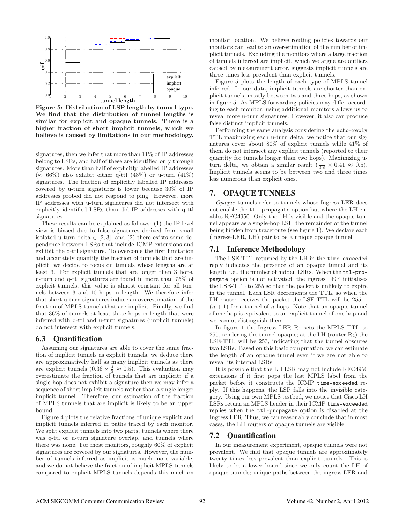

Figure 5: Distribution of LSP length by tunnel type. We find that the distribution of tunnel lengths is similar for explicit and opaque tunnels. There is a higher fraction of short implicit tunnels, which we believe is caused by limitations in our methodology.

signatures, then we infer that more than 11% of IP addresses belong to LSRs, and half of these are identified only through signatures. More than half of explicitly labelled IP addresses  $(\approx 66\%)$  also exhibit either q-ttl (48%) or u-turn (41%) signatures. The fraction of explicitly labelled IP addresses covered by u-turn signatures is lower because 30% of IP addresses probed did not respond to ping. However, more IP addresses with u-turn signatures did not intersect with explicitly identified LSRs than did IP addresses with q-ttl signatures.

These results can be explained as follows: (1) the IP level view is biased due to false signatures derived from small isolated u-turn delta  $\in [2,3]$ , and  $(2)$  there exists some dependence between LSRs that include ICMP extensions and exhibit the q-ttl signature. To overcome the first limitation and accurately quantify the fraction of tunnels that are implicit, we decide to focus on tunnels whose lengths are at least 3. For explicit tunnels that are longer than 3 hops, u-turn and q-ttl signatures are found in more than 75% of explicit tunnels; this value is almost constant for all tunnels between 3 and 10 hops in length. We therefore infer that short u-turn signatures induce an overestimation of the fraction of MPLS tunnels that are implicit. Finally, we find that 36% of tunnels at least three hops in length that were inferred with q-ttl and u-turn signatures (implicit tunnels) do not intersect with explicit tunnels.

#### **6.3 Quantification**

Assuming our signatures are able to cover the same fraction of implicit tunnels as explicit tunnels, we deduce there are approximatively half as many implicit tunnels as there are explicit tunnels  $(0.36 \times \frac{4}{3} \approx 0.5)$ . This evaluation may overestimate the fraction of tunnels that are implicit: if a single hop does not exhibit a signature then we may infer a sequence of short implicit tunnels rather than a single longer implicit tunnel. Therefore, our estimation of the fraction of MPLS tunnels that are implicit is likely to be an upper bound.

Figure 4 plots the relative fractions of unique explicit and implicit tunnels inferred in paths traced by each monitor. We split explicit tunnels into two parts; tunnels where there was q-ttl or u-turn signature overlap, and tunnels where there was none. For most monitors, roughly 60% of explicit signatures are covered by our signatures. However, the number of tunnels inferred as implicit is much more variable, and we do not believe the fraction of implicit MPLS tunnels compared to explicit MPLS tunnels depends this much on monitor location. We believe routing policies towards our monitors can lead to an overestimation of the number of implicit tunnels. Excluding the monitors where a large fraction of tunnels inferred are implicit, which we argue are outliers caused by measurement error, suggests implicit tunnels are three times less prevalent than explicit tunnels.

Figure 5 plots the length of each type of MPLS tunnel inferred. In our data, implicit tunnels are shorter than explicit tunnels, mostly between two and three hops, as shown in figure 5. As MPLS forwarding policies may differ according to each monitor, using additional monitors allows us to reveal more u-turn signatures. However, it also can produce false distinct implicit tunnels.

Performing the same analysis considering the echo-reply TTL maximizing each u-turn delta, we notice that our signatures cover about 80% of explicit tunnels while 41% of them do not intersect any explicit tunnels (reported to their quantity for tunnels longer than two hops). Maximizing uturn delta, we obtain a similar result  $\left(\frac{1}{0.8} \times 0.41 \approx 0.5\right)$ . Implicit tunnels seems to be between two and three times less numerous than explicit ones.

# **7. OPAQUE TUNNELS**

Opaque tunnels refer to tunnels whose Ingress LER does not enable the ttl-propagate option but where the LH enables RFC4950. Only the LH is visible and the opaque tunnel appears as a single-hop LSP, the remainder of the tunnel being hidden from traceroute (see figure 1). We declare each (Ingress-LER, LH) pair to be a unique opaque tunnel.

# **7.1 Inference Methodology**

The LSE-TTL returned by the LH in the time-exceeded reply indicates the presence of an opaque tunnel and its length, i.e., the number of hidden LSRs. When the ttl-propagate option is not activated, the ingress LER initialises the LSE-TTL to 255 so that the packet is unlikely to expire in the tunnel. Each LSR decrements the TTL, so when the LH router receives the packet the LSE-TTL will be 255 −  $(n+1)$  for a tunnel of n hops. Note that an opaque tunnel of one hop is equivalent to an explicit tunnel of one hop and we cannot distinguish them.

In figure 1 the Ingress LER  $R_1$  sets the MPLS TTL to 255, rendering the tunnel opaque; at the LH (router  $R_4$ ) the LSE-TTL will be 253, indicating that the tunnel obscures two LSRs. Based on this basic computation, we can estimate the length of an opaque tunnel even if we are not able to reveal its internal LSRs.

It is possible that the LH LSR may not include RFC4950 extensions if it first pops the last MPLS label from the packet before it constructs the ICMP time-exceeded reply. If this happens, the LSP falls into the invisible category. Using our own MPLS testbed, we notice that Cisco LH LSRs return an MPLS header in their ICMP time-exceeded replies when the ttl-propagate option is disabled at the Ingress LER. Thus, we can reasonably conclude that in most cases, the LH routers of opaque tunnels are visible.

#### **7.2 Quantification**

In our measurement experiment, opaque tunnels were not prevalent. We find that opaque tunnels are approximately twenty times less prevalent than explicit tunnels. This is likely to be a lower bound since we only count the LH of opaque tunnels; unique paths between the ingress LER and